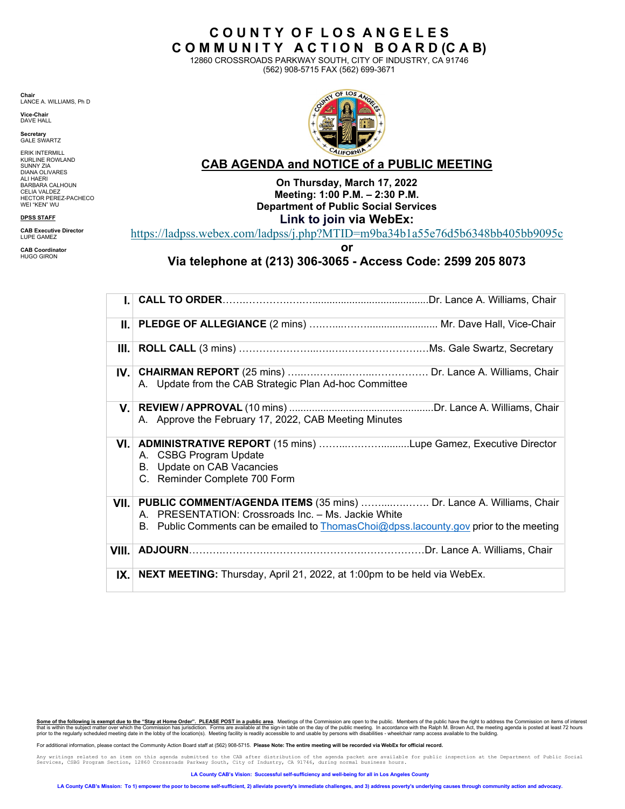**Chair** LANCE A. WILLIAMS, Ph D

**Vice-Chair**  DAVE HALL

**Secretary**  GALE SWARTZ

ERIK INTERMILL KURLINE ROWLAND SUNNY ZIA DIANA OLIVARES ALI HAERI BARBARA CALHOUN CELIA VALDEZ HECTOR PEREZ-PACHECO WEI "KEN" WU

## **DPSS STAFF**

**CAB Executive Director** LUPE GAMEZ

**CAB Coordinator** HUGO GIRON



**C O U N T Y O F L O S A N G E L E S C O M M U N I T Y A C T I O N B O A R D (C A B)**  12860 CROSSROADS PARKWAY SOUTH, CITY OF INDUSTRY, CA 91746 (562) 908-5715 FAX (562) 699-3671

# **CAB AGENDA and NOTICE of a PUBLIC MEETING On Thursday, March 17, 2022**

**Meeting: 1:00 P.M. – 2:30 P.M. Department of Public Social Services Link to join via WebEx:** 

<https://ladpss.webex.com/ladpss/j.php?MTID=m9ba34b1a55e76d5b6348bb405bb9095c>

**or** 

**Via telephone at (213) 306-3065 - Access Code: 2599 205 8073** 

| III. I |                                                                                                                                                             |
|--------|-------------------------------------------------------------------------------------------------------------------------------------------------------------|
|        | A. Update from the CAB Strategic Plan Ad-hoc Committee                                                                                                      |
|        | A. Approve the February 17, 2022, CAB Meeting Minutes                                                                                                       |
|        | VI. ADMINISTRATIVE REPORT (15 mins) Lupe Gamez, Executive Director<br>A. CSBG Program Update<br>B. Update on CAB Vacancies<br>C. Reminder Complete 700 Form |
|        | VII. PUBLIC COMMENT/AGENDA ITEMS (35 mins)  Dr. Lance A. Williams, Chair<br>A. PRESENTATION: Crossroads Inc. - Ms. Jackie White                             |
|        | B. Public Comments can be emailed to ThomasChoi@dpss.lacounty.gov prior to the meeting                                                                      |
| VIII.  |                                                                                                                                                             |
| IX.    | <b>NEXT MEETING:</b> Thursday, April 21, 2022, at 1:00pm to be held via WebEx.                                                                              |

Some of the following is exempt due to the "Stay at Home Order". PLEASE POST in a public area. Meetings of the Commission are open to the public. Members of the public have the right to address the Commission on items of i

For additional information, please contact the Community Action Board staff at (562) 908-5715. Please Note: The entire meeting will be recorded via WebEx for official record.

Any writings related to an item on this agenda submitted to the CAB after distribution of the agenda packet are available for public inspection at the Department of Public Social<br>Services, CSBG Program Section, 12860 Cross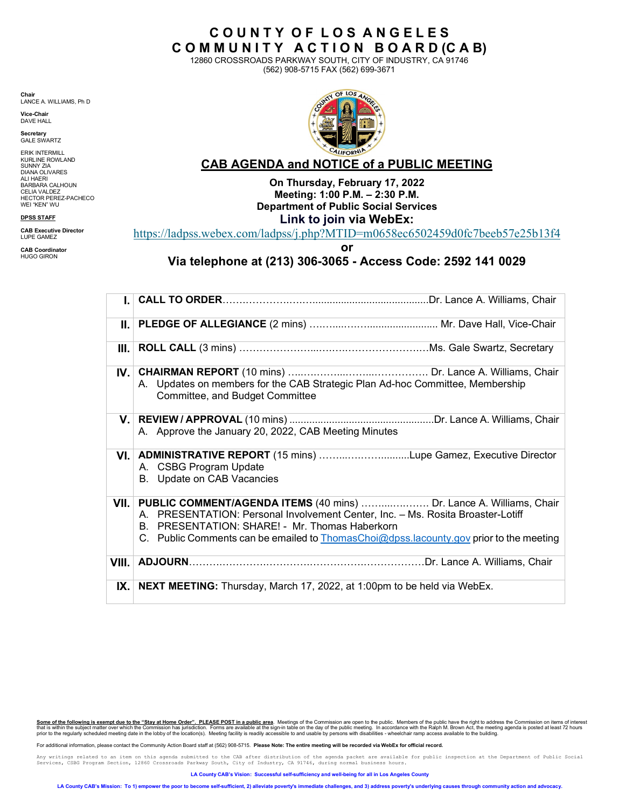**Chair** LANCE A. WILLIAMS, Ph D

**Vice-Chair**  DAVE HALL

**Secretary**  GALE SWARTZ

ERIK INTERMILL KURLINE ROWLAND SUNNY ZIA DIANA OLIVARES ALI HAERI BARBARA CALHOUN CELIA VALDEZ HECTOR PEREZ-PACHECO WEI "KEN" WU

## **DPSS STAFF**

**CAB Executive Director** LUPE GAMEZ

**CAB Coordinator** HUGO GIRON



**C O U N T Y O F L O S A N G E L E S C O M M U N I T Y A C T I O N B O A R D (C A B)** 12860 CROSSROADS PARKWAY SOUTH, CITY OF INDUSTRY, CA 91746 (562) 908-5715 FAX (562) 699-3671

# **CAB AGENDA and NOTICE of <sup>a</sup> PUBLIC MEETING**

**On Thursday, February 17, 2022 Meeting: 1:00 P.M. – 2:30 P.M. Department of Public Social Services Link to join via WebEx:**

<https://ladpss.webex.com/ladpss/j.php?MTID=m0658ec6502459d0fc7beeb57e25b13f4>

**or** 

**Via telephone at (213) 306-3065 - Access Code: 2592 141 0029**

|       | A. Updates on members for the CAB Strategic Plan Ad-hoc Committee, Membership<br>Committee, and Budget Committee                                                                                                                                                                                               |
|-------|----------------------------------------------------------------------------------------------------------------------------------------------------------------------------------------------------------------------------------------------------------------------------------------------------------------|
|       | A. Approve the January 20, 2022, CAB Meeting Minutes                                                                                                                                                                                                                                                           |
|       | VI. ADMINISTRATIVE REPORT (15 mins) Lupe Gamez, Executive Director<br>A. CSBG Program Update<br>B. Update on CAB Vacancies                                                                                                                                                                                     |
|       | VII. PUBLIC COMMENT/AGENDA ITEMS (40 mins)  Dr. Lance A. Williams, Chair<br>A. PRESENTATION: Personal Involvement Center, Inc. - Ms. Rosita Broaster-Lotiff<br>B. PRESENTATION: SHARE! - Mr. Thomas Haberkorn<br>C. Public Comments can be emailed to <b>ThomasChoi@dpss.lacounty.gov</b> prior to the meeting |
| VIII. |                                                                                                                                                                                                                                                                                                                |
| IX.   | <b>NEXT MEETING:</b> Thursday, March 17, 2022, at 1:00pm to be held via WebEx.                                                                                                                                                                                                                                 |

Some of the following is exempt due to the "Stay at Home Order". PLEASE POST in a public area. Meetings of the Commission are open to the public. Members of the public have the right to address the Commission on items of i

For additional information, please contact the Community Action Board staff at (562) 908-5715. **Please Note: The entire meeting will be recorded via WebEx for official record.**

Any writings related to an item on this agenda submitted to the CAB after distribution of the agenda packet are available for public inspection at the Department of Public Social<br>Services, CSBG Program Section, 12860 Cross

**LA County CAB's Vision: Successful self-sufficiency and well-being for all in Los Angeles County**

**LA County CAB's Mission: To 1) empower the poor to become self-sufficient, 2) alleviate poverty's immediate challenges, and 3) address poverty's underlying causes through community action and advocacy.**